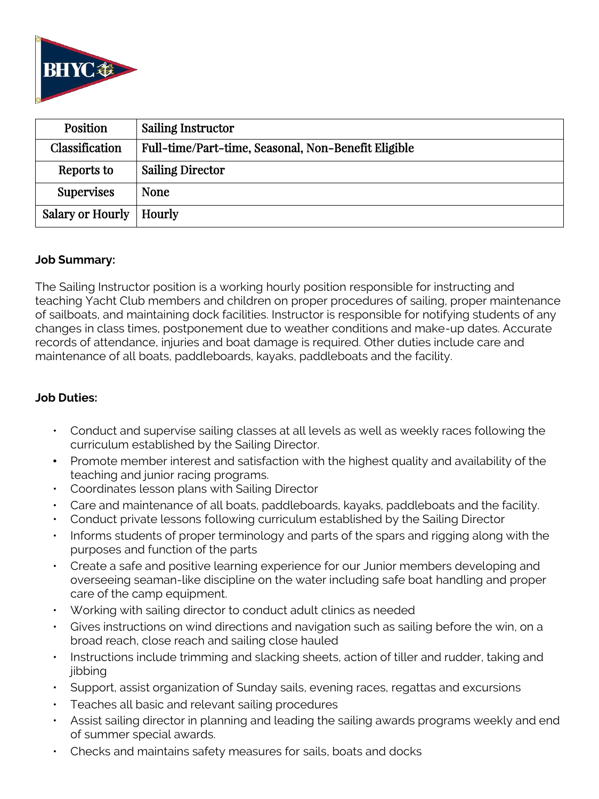

| <b>Position</b>           | Sailing Instructor                                  |
|---------------------------|-----------------------------------------------------|
| Classification            | Full-time/Part-time, Seasonal, Non-Benefit Eligible |
| Reports to                | <b>Sailing Director</b>                             |
| <b>Supervises</b>         | <b>None</b>                                         |
| Salary or Hourly   Hourly |                                                     |

#### **Job Summary:**

The Sailing Instructor position is a working hourly position responsible for instructing and teaching Yacht Club members and children on proper procedures of sailing, proper maintenance of sailboats, and maintaining dock facilities. Instructor is responsible for notifying students of any changes in class times, postponement due to weather conditions and make-up dates. Accurate records of attendance, injuries and boat damage is required. Other duties include care and maintenance of all boats, paddleboards, kayaks, paddleboats and the facility.

### **Job Duties:**

- Conduct and supervise sailing classes at all levels as well as weekly races following the curriculum established by the Sailing Director.
- Promote member interest and satisfaction with the highest quality and availability of the teaching and junior racing programs.
- Coordinates lesson plans with Sailing Director
- Care and maintenance of all boats, paddleboards, kayaks, paddleboats and the facility.
- Conduct private lessons following curriculum established by the Sailing Director
- Informs students of proper terminology and parts of the spars and rigging along with the purposes and function of the parts
- Create a safe and positive learning experience for our Junior members developing and overseeing seaman-like discipline on the water including safe boat handling and proper care of the camp equipment.
- Working with sailing director to conduct adult clinics as needed
- Gives instructions on wind directions and navigation such as sailing before the win, on a broad reach, close reach and sailing close hauled
- Instructions include trimming and slacking sheets, action of tiller and rudder, taking and iibbina
- Support, assist organization of Sunday sails, evening races, regattas and excursions
- Teaches all basic and relevant sailing procedures
- Assist sailing director in planning and leading the sailing awards programs weekly and end of summer special awards.
- Checks and maintains safety measures for sails, boats and docks